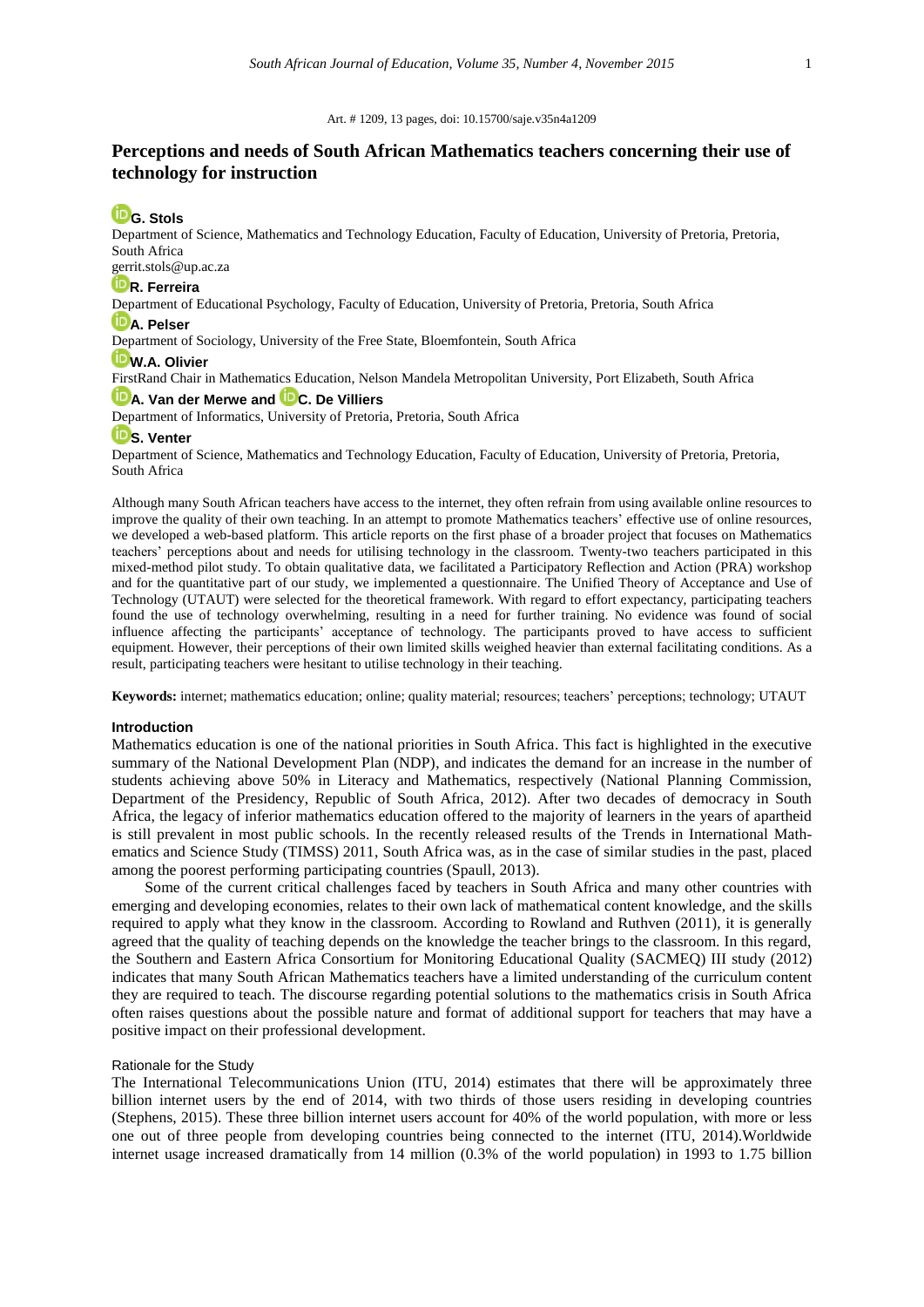#### Art. # 1209, 13 pages, doi: 10.15700/saje.v35n4a1209

# **Perceptions and needs of South African Mathematics teachers concerning their use of technology for instruction**

# **[G. Stols](http://orcid.org/0000-0003-2087-8729)**

Department of Science, Mathematics and Technology Education, Faculty of Education, University of Pretoria, Pretoria, South Africa

# [gerrit.stols@up.ac.za](mailto:gerrit.stols@up.ac.za)

# **D**[R. Ferreira](http://orcid.org/0000-0003-2518-7839)

Department of Educational Psychology, Faculty of Education, University of Pretoria, Pretoria, South Africa

# **D**[A. Pelser](http://orcid.org/0000-0003-0417-6727)

Department of Sociology, University of the Free State, Bloemfontein, South Africa

# **[W.A. Olivier](http://orcid.org/0000-0002-1718-6580)**

FirstRand Chair in Mathematics Education, Nelson Mandela Metropolitan University, Port Elizabeth, South Africa

# **[A. Van der Merwe](http://orcid.org/0000-0002-3652-7512) and [C. De Villiers](http://orcid.org/0000-0003-1467-3508)**

Department of Informatics, University of Pretoria, Pretoria, South Africa

# **ID**[S. Venter](http://orcid.org/0000-0003-0091-338X)

Department of Science, Mathematics and Technology Education, Faculty of Education, University of Pretoria, Pretoria, South Africa

Although many South African teachers have access to the internet, they often refrain from using available online resources to improve the quality of their own teaching. In an attempt to promote Mathematics teachers' effective use of online resources, we developed a web-based platform. This article reports on the first phase of a broader project that focuses on Mathematics teachers' perceptions about and needs for utilising technology in the classroom. Twenty-two teachers participated in this mixed-method pilot study. To obtain qualitative data, we facilitated a Participatory Reflection and Action (PRA) workshop and for the quantitative part of our study, we implemented a questionnaire. The Unified Theory of Acceptance and Use of Technology (UTAUT) were selected for the theoretical framework. With regard to effort expectancy, participating teachers found the use of technology overwhelming, resulting in a need for further training. No evidence was found of social influence affecting the participants' acceptance of technology. The participants proved to have access to sufficient equipment. However, their perceptions of their own limited skills weighed heavier than external facilitating conditions. As a result, participating teachers were hesitant to utilise technology in their teaching.

**Keywords:** internet; mathematics education; online; quality material; resources; teachers' perceptions; technology; UTAUT

#### **Introduction**

Mathematics education is one of the national priorities in South Africa. This fact is highlighted in the executive summary of the National Development Plan (NDP), and indicates the demand for an increase in the number of students achieving above 50% in Literacy and Mathematics, respectively (National Planning Commission, Department of the Presidency, Republic of South Africa, 2012). After two decades of democracy in South Africa, the legacy of inferior mathematics education offered to the majority of learners in the years of apartheid is still prevalent in most public schools. In the recently released results of the Trends in International Mathematics and Science Study (TIMSS) 2011, South Africa was, as in the case of similar studies in the past, placed among the poorest performing participating countries (Spaull, 2013).

Some of the current critical challenges faced by teachers in South Africa and many other countries with emerging and developing economies, relates to their own lack of mathematical content knowledge, and the skills required to apply what they know in the classroom. According to Rowland and Ruthven (2011), it is generally agreed that the quality of teaching depends on the knowledge the teacher brings to the classroom. In this regard, the Southern and Eastern Africa Consortium for Monitoring Educational Quality (SACMEQ) III study (2012) indicates that many South African Mathematics teachers have a limited understanding of the curriculum content they are required to teach. The discourse regarding potential solutions to the mathematics crisis in South Africa often raises questions about the possible nature and format of additional support for teachers that may have a positive impact on their professional development.

#### Rationale for the Study

The International Telecommunications Union (ITU, 2014) estimates that there will be approximately three billion internet users by the end of 2014, with two thirds of those users residing in developing countries (Stephens, 2015). These three billion internet users account for 40% of the world population, with more or less one out of three people from developing countries being connected to the internet (ITU, 2014).Worldwide internet usage increased dramatically from 14 million (0.3% of the world population) in 1993 to 1.75 billion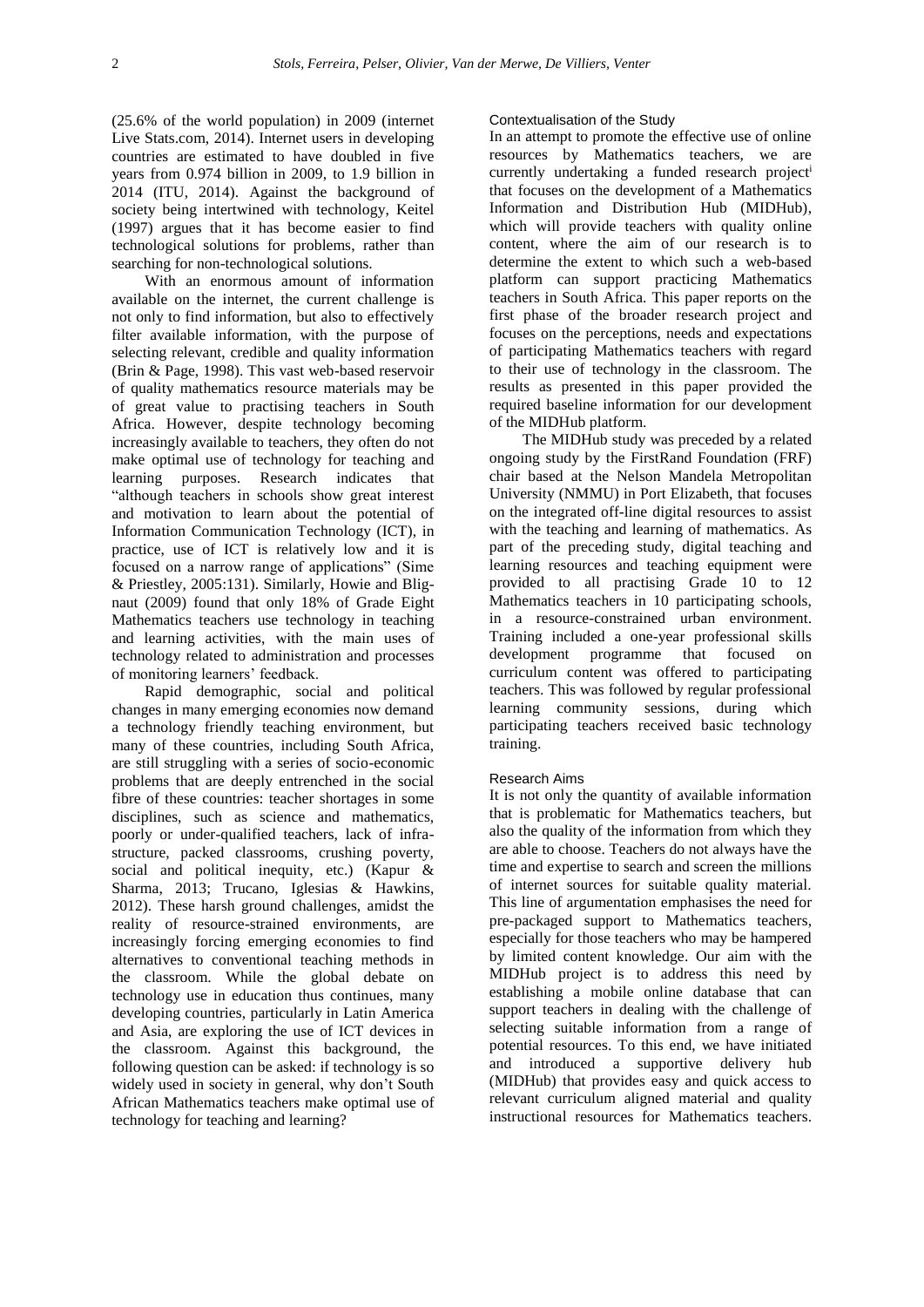(25.6% of the world population) in 2009 (internet Live Stats.com, 2014). Internet users in developing countries are estimated to have doubled in five years from 0.974 billion in 2009, to 1.9 billion in 2014 (ITU, 2014). Against the background of society being intertwined with technology, Keitel (1997) argues that it has become easier to find technological solutions for problems, rather than searching for non-technological solutions.

With an enormous amount of information available on the internet, the current challenge is not only to find information, but also to effectively filter available information, with the purpose of selecting relevant, credible and quality information (Brin & Page, 1998). This vast web-based reservoir of quality mathematics resource materials may be of great value to practising teachers in South Africa. However, despite technology becoming increasingly available to teachers, they often do not make optimal use of technology for teaching and learning purposes. Research indicates that "although teachers in schools show great interest and motivation to learn about the potential of Information Communication Technology (ICT), in practice, use of ICT is relatively low and it is focused on a narrow range of applications" (Sime & Priestley, 2005:131). Similarly, Howie and Blignaut (2009) found that only 18% of Grade Eight Mathematics teachers use technology in teaching and learning activities, with the main uses of technology related to administration and processes of monitoring learners' feedback.

Rapid demographic, social and political changes in many emerging economies now demand a technology friendly teaching environment, but many of these countries, including South Africa, are still struggling with a series of socio-economic problems that are deeply entrenched in the social fibre of these countries: teacher shortages in some disciplines, such as science and mathematics, poorly or under-qualified teachers, lack of infrastructure, packed classrooms, crushing poverty, social and political inequity, etc.) (Kapur & Sharma, 2013; Trucano, Iglesias & Hawkins, 2012). These harsh ground challenges, amidst the reality of resource-strained environments, are increasingly forcing emerging economies to find alternatives to conventional teaching methods in the classroom. While the global debate on technology use in education thus continues, many developing countries, particularly in Latin America and Asia, are exploring the use of ICT devices in the classroom. Against this background, the following question can be asked: if technology is so widely used in society in general, why don't South African Mathematics teachers make optimal use of technology for teaching and learning?

#### Contextualisation of the Study

In an attempt to promote the effective use of online resources by Mathematics teachers, we are currently undertaking a funded research project<sup>i</sup> that focuses on the development of a Mathematics Information and Distribution Hub (MIDHub), which will provide teachers with quality online content, where the aim of our research is to determine the extent to which such a web-based platform can support practicing Mathematics teachers in South Africa. This paper reports on the first phase of the broader research project and focuses on the perceptions, needs and expectations of participating Mathematics teachers with regard to their use of technology in the classroom. The results as presented in this paper provided the required baseline information for our development of the MIDHub platform.

The MIDHub study was preceded by a related ongoing study by the FirstRand Foundation (FRF) chair based at the Nelson Mandela Metropolitan University (NMMU) in Port Elizabeth, that focuses on the integrated off-line digital resources to assist with the teaching and learning of mathematics. As part of the preceding study, digital teaching and learning resources and teaching equipment were provided to all practising Grade 10 to 12 Mathematics teachers in 10 participating schools, in a resource-constrained urban environment. Training included a one-year professional skills development programme that focused on curriculum content was offered to participating teachers. This was followed by regular professional learning community sessions, during which participating teachers received basic technology training.

#### Research Aims

It is not only the quantity of available information that is problematic for Mathematics teachers, but also the quality of the information from which they are able to choose. Teachers do not always have the time and expertise to search and screen the millions of internet sources for suitable quality material. This line of argumentation emphasises the need for pre-packaged support to Mathematics teachers, especially for those teachers who may be hampered by limited content knowledge. Our aim with the MIDHub project is to address this need by establishing a mobile online database that can support teachers in dealing with the challenge of selecting suitable information from a range of potential resources. To this end, we have initiated and introduced a supportive delivery hub (MIDHub) that provides easy and quick access to relevant curriculum aligned material and quality instructional resources for Mathematics teachers.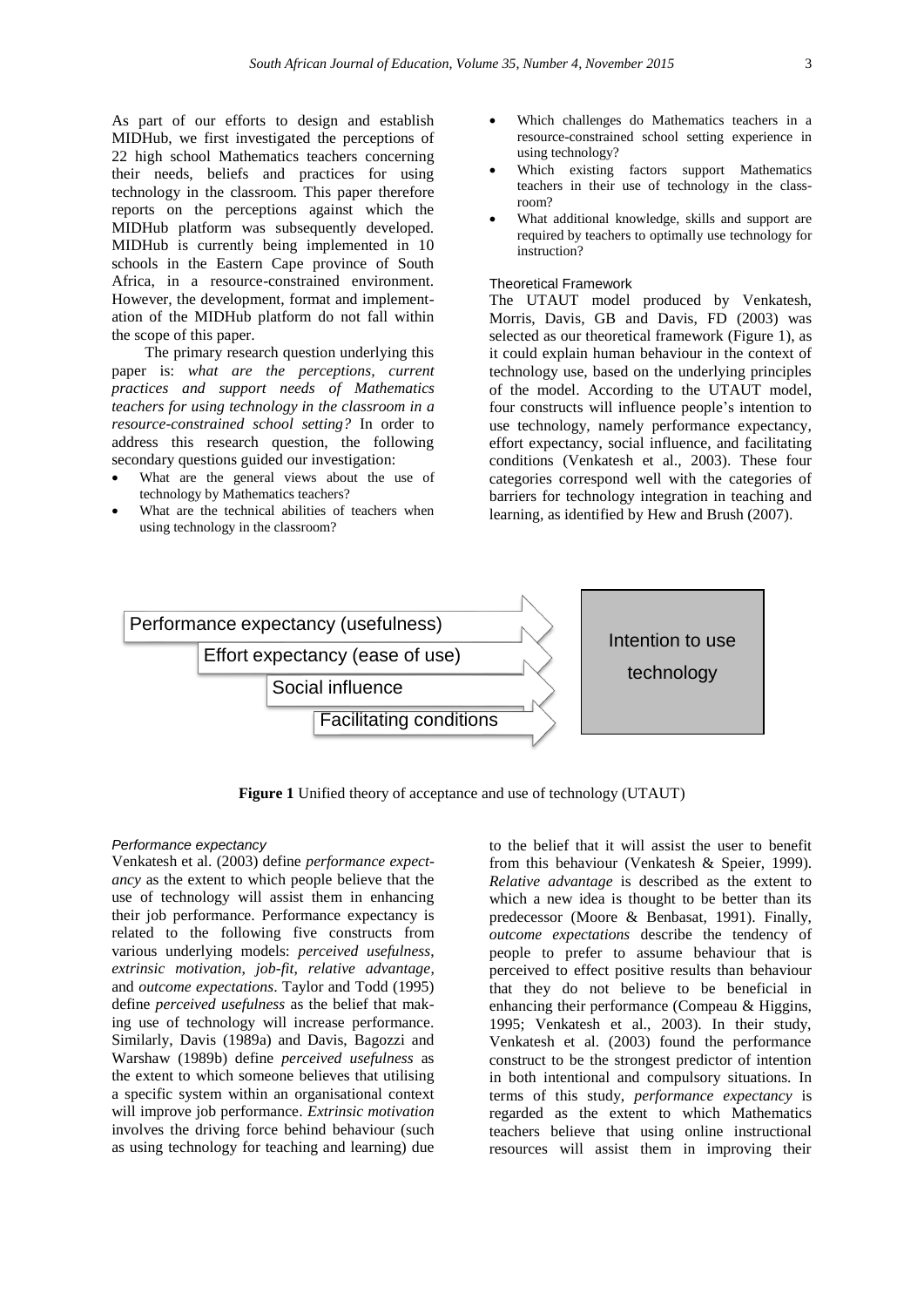As part of our efforts to design and establish MIDHub, we first investigated the perceptions of 22 high school Mathematics teachers concerning their needs, beliefs and practices for using technology in the classroom. This paper therefore reports on the perceptions against which the MIDHub platform was subsequently developed. MIDHub is currently being implemented in 10 schools in the Eastern Cape province of South Africa, in a resource-constrained environment. However, the development, format and implementation of the MIDHub platform do not fall within the scope of this paper.

The primary research question underlying this paper is: *what are the perceptions, current practices and support needs of Mathematics teachers for using technology in the classroom in a resource-constrained school setting?* In order to address this research question, the following secondary questions guided our investigation:

- What are the general views about the use of technology by Mathematics teachers?
- What are the technical abilities of teachers when using technology in the classroom?
- Which challenges do Mathematics teachers in a resource-constrained school setting experience in using technology?
- Which existing factors support Mathematics teachers in their use of technology in the classroom?
- What additional knowledge, skills and support are required by teachers to optimally use technology for instruction?

# Theoretical Framework

The UTAUT model produced by Venkatesh, Morris, Davis, GB and Davis, FD (2003) was selected as our theoretical framework (Figure 1), as it could explain human behaviour in the context of technology use, based on the underlying principles of the model. According to the UTAUT model, four constructs will influence people's intention to use technology, namely performance expectancy, effort expectancy, social influence, and facilitating conditions (Venkatesh et al., 2003). These four categories correspond well with the categories of barriers for technology integration in teaching and learning, as identified by Hew and Brush (2007).



**Figure 1** Unified theory of acceptance and use of technology (UTAUT)

### *Performance expectancy*

Venkatesh et al. (2003) define *performance expectancy* as the extent to which people believe that the use of technology will assist them in enhancing their job performance. Performance expectancy is related to the following five constructs from various underlying models: *perceived usefulness*, *extrinsic motivation*, *job-fit*, *relative advantage*, and *outcome expectations*. Taylor and Todd (1995) define *perceived usefulness* as the belief that making use of technology will increase performance. Similarly, Davis (1989a) and Davis, Bagozzi and Warshaw (1989b) define *perceived usefulness* as the extent to which someone believes that utilising a specific system within an organisational context will improve job performance. *Extrinsic motivation* involves the driving force behind behaviour (such as using technology for teaching and learning) due

to the belief that it will assist the user to benefit from this behaviour (Venkatesh & Speier, 1999). *Relative advantage* is described as the extent to which a new idea is thought to be better than its predecessor (Moore & Benbasat, 1991). Finally, *outcome expectations* describe the tendency of people to prefer to assume behaviour that is perceived to effect positive results than behaviour that they do not believe to be beneficial in enhancing their performance (Compeau & Higgins, 1995; Venkatesh et al., 2003). In their study, Venkatesh et al. (2003) found the performance construct to be the strongest predictor of intention in both intentional and compulsory situations. In terms of this study, *performance expectancy* is regarded as the extent to which Mathematics teachers believe that using online instructional resources will assist them in improving their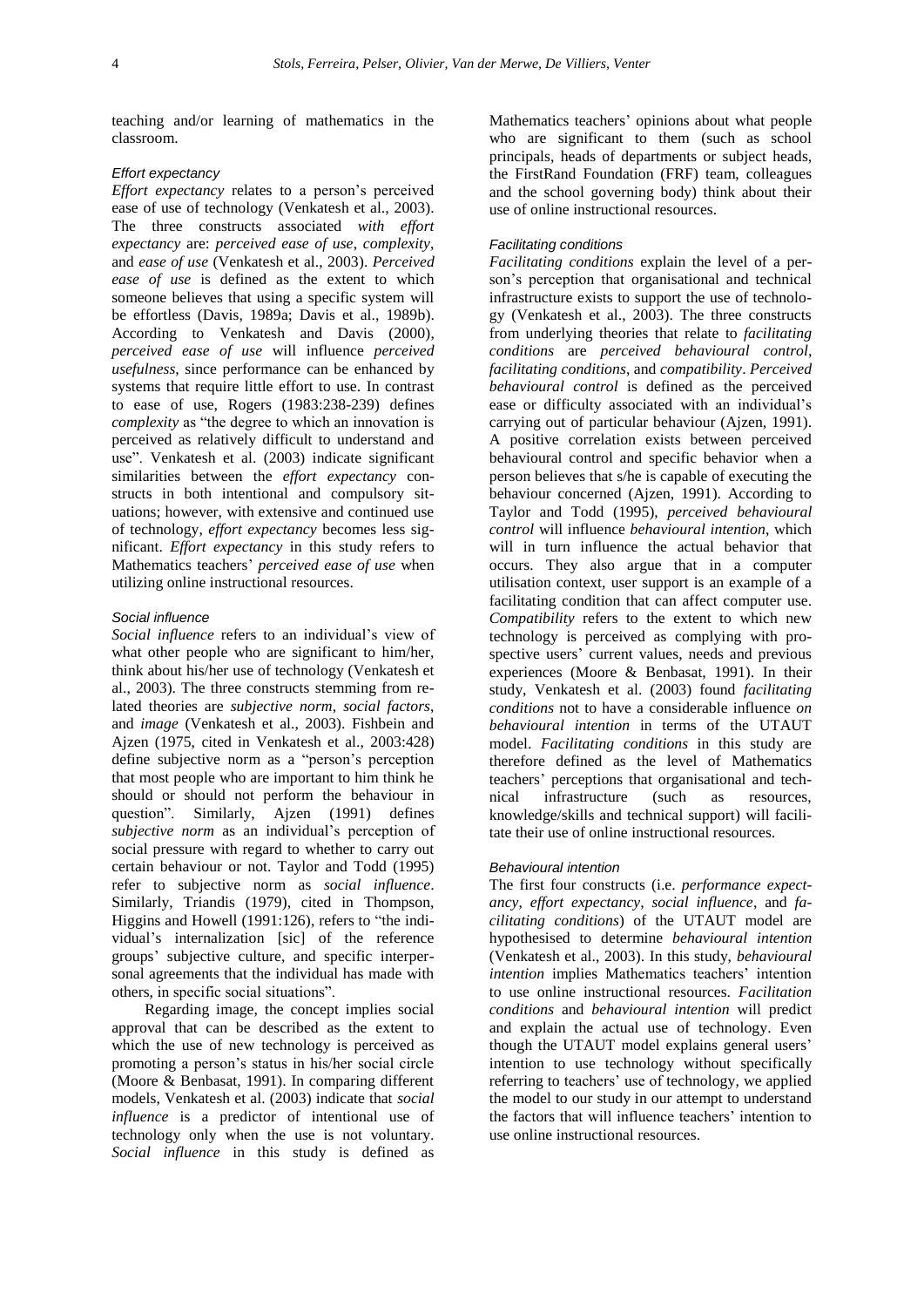teaching and/or learning of mathematics in the classroom.

# *Effort expectancy*

*Effort expectancy* relates to a person's perceived ease of use of technology (Venkatesh et al., 2003). The three constructs associated *with effort expectancy* are: *perceived ease of use*, *complexity*, and *ease of use* (Venkatesh et al., 2003). *Perceived ease of use* is defined as the extent to which someone believes that using a specific system will be effortless (Davis, 1989a; Davis et al., 1989b). According to Venkatesh and Davis (2000), *perceived ease of use* will influence *perceived usefulness*, since performance can be enhanced by systems that require little effort to use. In contrast to ease of use, Rogers (1983:238-239) defines *complexity* as "the degree to which an innovation is perceived as relatively difficult to understand and use". Venkatesh et al. (2003) indicate significant similarities between the *effort expectancy* constructs in both intentional and compulsory situations; however, with extensive and continued use of technology, *effort expectancy* becomes less significant. *Effort expectancy* in this study refers to Mathematics teachers' *perceived ease of use* when utilizing online instructional resources.

## *Social influence*

*Social influence* refers to an individual's view of what other people who are significant to him/her, think about his/her use of technology (Venkatesh et al., 2003). The three constructs stemming from related theories are *subjective norm*, *social factors*, and *image* (Venkatesh et al., 2003). Fishbein and Ajzen (1975, cited in Venkatesh et al., 2003:428) define subjective norm as a "person's perception that most people who are important to him think he should or should not perform the behaviour in question". Similarly, Ajzen (1991) defines *subjective norm* as an individual's perception of social pressure with regard to whether to carry out certain behaviour or not. Taylor and Todd (1995) refer to subjective norm as *social influence*. Similarly, Triandis (1979), cited in Thompson, Higgins and Howell (1991:126), refers to "the individual's internalization [sic] of the reference groups' subjective culture, and specific interpersonal agreements that the individual has made with others, in specific social situations".

Regarding image, the concept implies social approval that can be described as the extent to which the use of new technology is perceived as promoting a person's status in his/her social circle (Moore & Benbasat, 1991). In comparing different models, Venkatesh et al. (2003) indicate that *social influence* is a predictor of intentional use of technology only when the use is not voluntary. *Social influence* in this study is defined as Mathematics teachers' opinions about what people who are significant to them (such as school principals, heads of departments or subject heads, the FirstRand Foundation (FRF) team, colleagues and the school governing body) think about their use of online instructional resources.

# *Facilitating conditions*

*Facilitating conditions* explain the level of a person's perception that organisational and technical infrastructure exists to support the use of technology (Venkatesh et al., 2003). The three constructs from underlying theories that relate to *facilitating conditions* are *perceived behavioural control*, *facilitating conditions*, and *compatibility*. *Perceived behavioural control* is defined as the perceived ease or difficulty associated with an individual's carrying out of particular behaviour (Ajzen, 1991). A positive correlation exists between perceived behavioural control and specific behavior when a person believes that s/he is capable of executing the behaviour concerned (Ajzen, 1991). According to Taylor and Todd (1995), *perceived behavioural control* will influence *behavioural intention*, which will in turn influence the actual behavior that occurs. They also argue that in a computer utilisation context, user support is an example of a facilitating condition that can affect computer use. *Compatibility* refers to the extent to which new technology is perceived as complying with prospective users' current values, needs and previous experiences (Moore & Benbasat, 1991). In their study, Venkatesh et al. (2003) found *facilitating conditions* not to have a considerable influence *on behavioural intention* in terms of the UTAUT model. *Facilitating conditions* in this study are therefore defined as the level of Mathematics teachers' perceptions that organisational and technical infrastructure (such as resources, knowledge/skills and technical support) will facilitate their use of online instructional resources.

#### *Behavioural intention*

The first four constructs (i.e. *performance expectancy*, *effort expectancy*, *social influence*, and *facilitating conditions*) of the UTAUT model are hypothesised to determine *behavioural intention* (Venkatesh et al., 2003). In this study, *behavioural intention* implies Mathematics teachers' intention to use online instructional resources. *Facilitation conditions* and *behavioural intention* will predict and explain the actual use of technology. Even though the UTAUT model explains general users' intention to use technology without specifically referring to teachers' use of technology, we applied the model to our study in our attempt to understand the factors that will influence teachers' intention to use online instructional resources.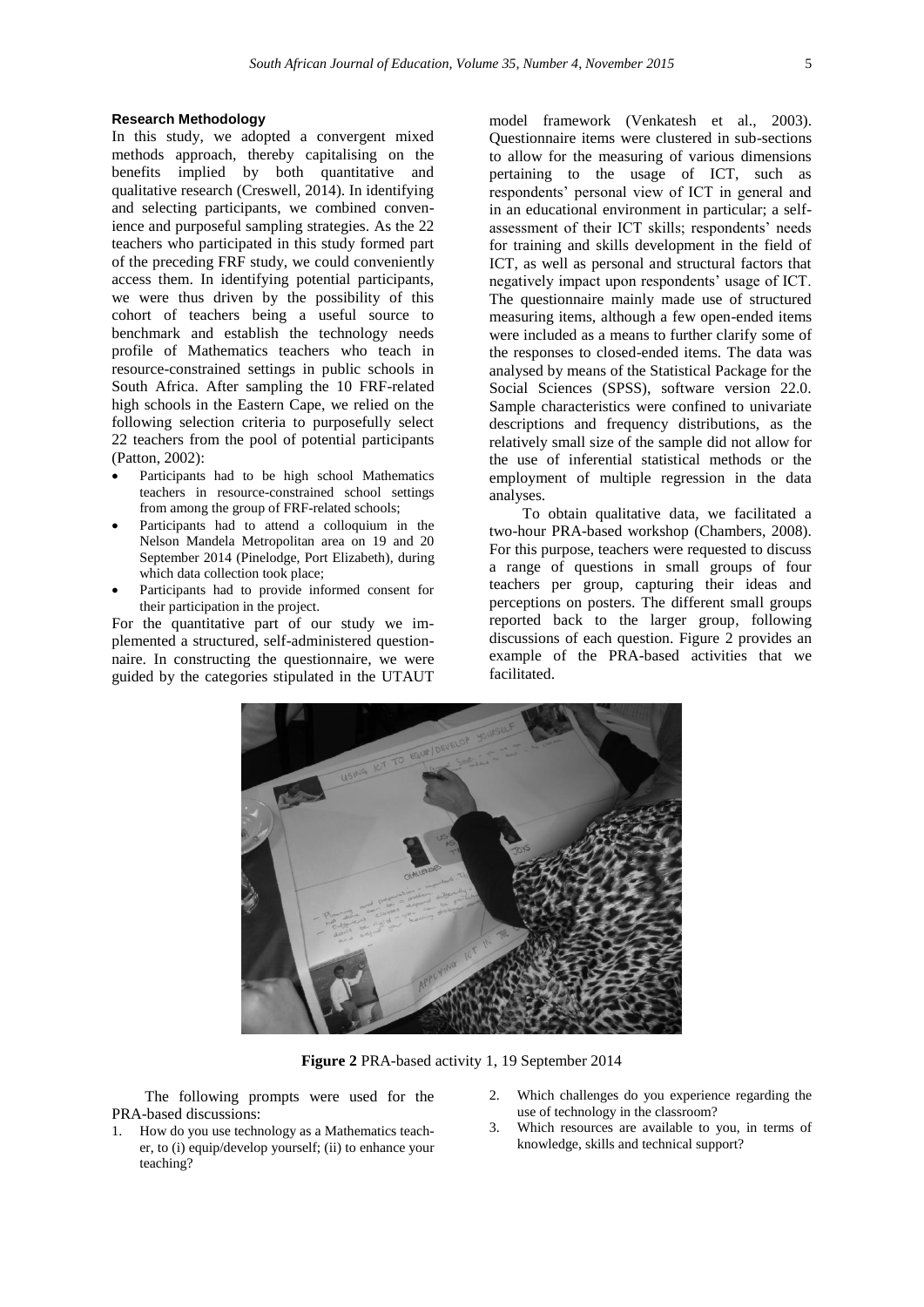## **Research Methodology**

In this study, we adopted a convergent mixed methods approach, thereby capitalising on the benefits implied by both quantitative and qualitative research (Creswell, 2014). In identifying and selecting participants, we combined convenience and purposeful sampling strategies. As the 22 teachers who participated in this study formed part of the preceding FRF study, we could conveniently access them. In identifying potential participants, we were thus driven by the possibility of this cohort of teachers being a useful source to benchmark and establish the technology needs profile of Mathematics teachers who teach in resource-constrained settings in public schools in South Africa. After sampling the 10 FRF-related high schools in the Eastern Cape, we relied on the following selection criteria to purposefully select 22 teachers from the pool of potential participants (Patton, 2002):

- Participants had to be high school Mathematics teachers in resource-constrained school settings from among the group of FRF-related schools;
- Participants had to attend a colloquium in the Nelson Mandela Metropolitan area on 19 and 20 September 2014 (Pinelodge, Port Elizabeth), during which data collection took place;
- Participants had to provide informed consent for their participation in the project.

For the quantitative part of our study we implemented a structured, self-administered questionnaire. In constructing the questionnaire, we were guided by the categories stipulated in the UTAUT

model framework (Venkatesh et al., 2003). Questionnaire items were clustered in sub-sections to allow for the measuring of various dimensions pertaining to the usage of ICT, such as respondents' personal view of ICT in general and in an educational environment in particular; a selfassessment of their ICT skills; respondents' needs for training and skills development in the field of ICT, as well as personal and structural factors that negatively impact upon respondents' usage of ICT. The questionnaire mainly made use of structured measuring items, although a few open-ended items were included as a means to further clarify some of the responses to closed-ended items. The data was analysed by means of the Statistical Package for the Social Sciences (SPSS), software version 22.0. Sample characteristics were confined to univariate descriptions and frequency distributions, as the relatively small size of the sample did not allow for the use of inferential statistical methods or the employment of multiple regression in the data analyses.

To obtain qualitative data, we facilitated a two-hour PRA-based workshop (Chambers, 2008). For this purpose, teachers were requested to discuss a range of questions in small groups of four teachers per group, capturing their ideas and perceptions on posters. The different small groups reported back to the larger group, following discussions of each question. Figure 2 provides an example of the PRA-based activities that we facilitated.



**Figure 2** PRA-based activity 1, 19 September 2014

The following prompts were used for the PRA-based discussions:

- 1. How do you use technology as a Mathematics teacher, to (i) equip/develop yourself; (ii) to enhance your teaching?
- 2. Which challenges do you experience regarding the use of technology in the classroom?
- 3. Which resources are available to you, in terms of knowledge, skills and technical support?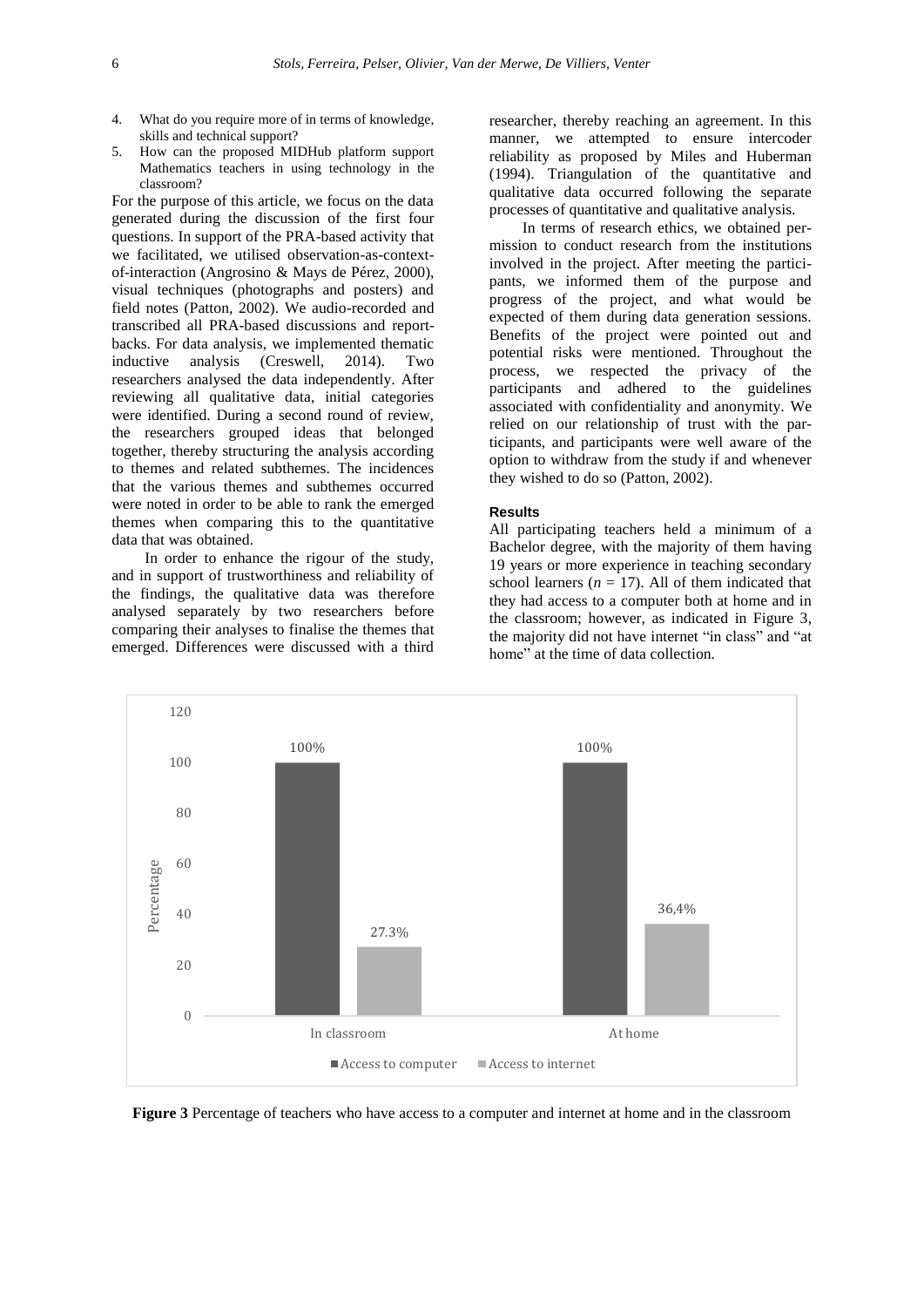- 4. What do you require more of in terms of knowledge, skills and technical support?
- 5. How can the proposed MIDHub platform support Mathematics teachers in using technology in the classroom?

For the purpose of this article, we focus on the data generated during the discussion of the first four questions. In support of the PRA-based activity that we facilitated, we utilised observation-as-contextof-interaction (Angrosino & Mays de Pérez, 2000), visual techniques (photographs and posters) and field notes (Patton, 2002). We audio-recorded and transcribed all PRA-based discussions and reportbacks. For data analysis, we implemented thematic inductive analysis (Creswell, 2014). Two researchers analysed the data independently. After reviewing all qualitative data, initial categories were identified. During a second round of review, the researchers grouped ideas that belonged together, thereby structuring the analysis according to themes and related subthemes. The incidences that the various themes and subthemes occurred were noted in order to be able to rank the emerged themes when comparing this to the quantitative data that was obtained.

In order to enhance the rigour of the study, and in support of trustworthiness and reliability of the findings, the qualitative data was therefore analysed separately by two researchers before comparing their analyses to finalise the themes that emerged. Differences were discussed with a third

researcher, thereby reaching an agreement. In this manner, we attempted to ensure intercoder reliability as proposed by Miles and Huberman (1994). Triangulation of the quantitative and qualitative data occurred following the separate processes of quantitative and qualitative analysis.

In terms of research ethics, we obtained permission to conduct research from the institutions involved in the project. After meeting the participants, we informed them of the purpose and progress of the project, and what would be expected of them during data generation sessions. Benefits of the project were pointed out and potential risks were mentioned. Throughout the process, we respected the privacy of the participants and adhered to the guidelines associated with confidentiality and anonymity. We relied on our relationship of trust with the participants, and participants were well aware of the option to withdraw from the study if and whenever they wished to do so (Patton, 2002).

## **Results**

All participating teachers held a minimum of a Bachelor degree, with the majority of them having 19 years or more experience in teaching secondary school learners  $(n = 17)$ . All of them indicated that they had access to a computer both at home and in the classroom; however, as indicated in Figure 3, the majority did not have internet "in class" and "at home" at the time of data collection.



**Figure 3** Percentage of teachers who have access to a computer and internet at home and in the classroom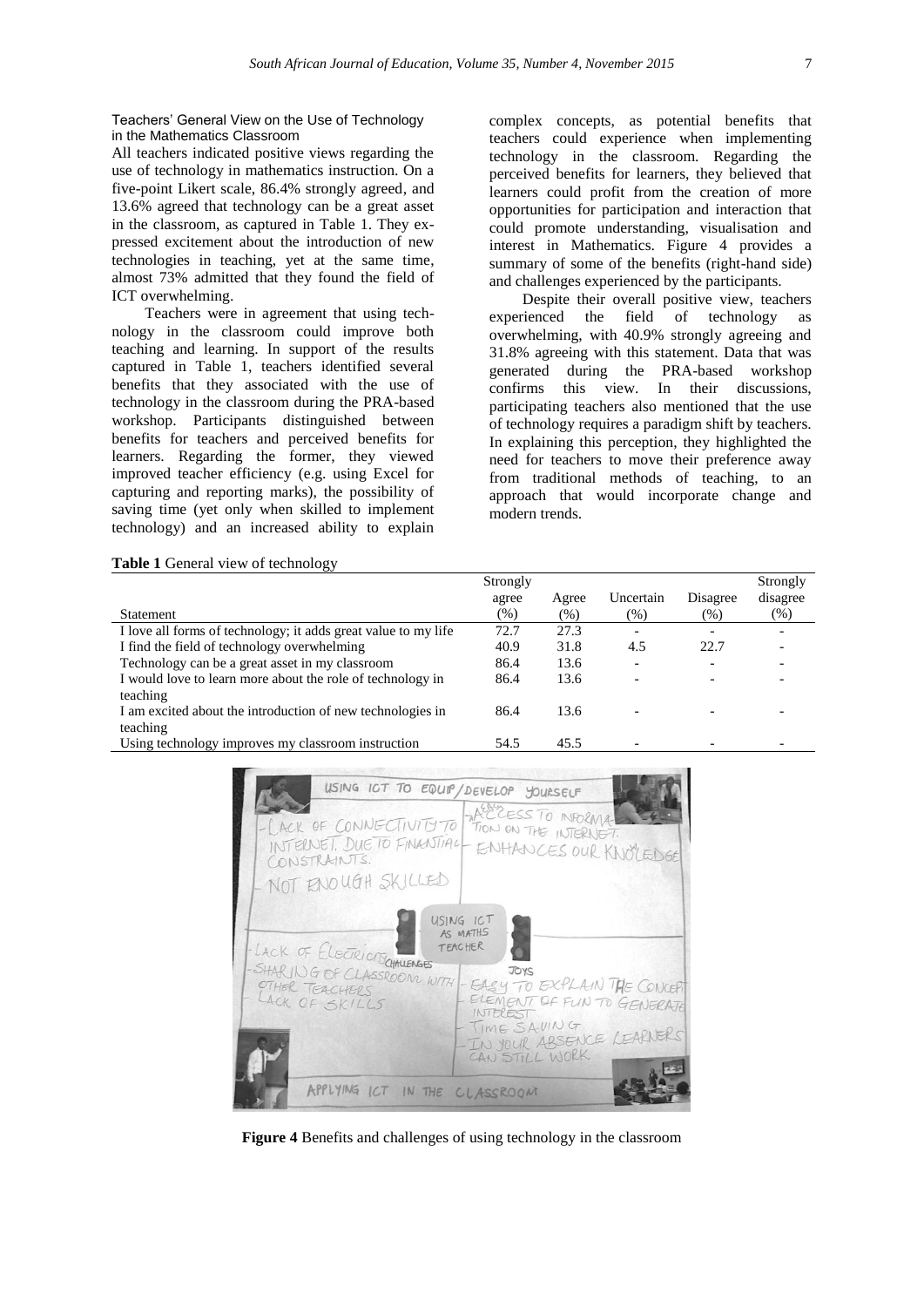Teachers' General View on the Use of Technology in the Mathematics Classroom

All teachers indicated positive views regarding the use of technology in mathematics instruction. On a five-point Likert scale, 86.4% strongly agreed, and 13.6% agreed that technology can be a great asset in the classroom, as captured in Table 1. They expressed excitement about the introduction of new technologies in teaching, yet at the same time, almost 73% admitted that they found the field of ICT overwhelming.

Teachers were in agreement that using technology in the classroom could improve both teaching and learning. In support of the results captured in Table 1, teachers identified several benefits that they associated with the use of technology in the classroom during the PRA-based workshop. Participants distinguished between benefits for teachers and perceived benefits for learners. Regarding the former, they viewed improved teacher efficiency (e.g. using Excel for capturing and reporting marks), the possibility of saving time (yet only when skilled to implement technology) and an increased ability to explain

complex concepts, as potential benefits that teachers could experience when implementing technology in the classroom. Regarding the perceived benefits for learners, they believed that learners could profit from the creation of more opportunities for participation and interaction that could promote understanding, visualisation and interest in Mathematics. Figure 4 provides a summary of some of the benefits (right-hand side) and challenges experienced by the participants.

Despite their overall positive view, teachers experienced the field of technology as overwhelming, with 40.9% strongly agreeing and 31.8% agreeing with this statement. Data that was generated during the PRA-based workshop confirms this view. In their discussions, participating teachers also mentioned that the use of technology requires a paradigm shift by teachers. In explaining this perception, they highlighted the need for teachers to move their preference away from traditional methods of teaching, to an approach that would incorporate change and modern trends.

| Table 1 General view of technology |  |
|------------------------------------|--|
|------------------------------------|--|

|                                                                | Strongly |        |           |          | Strongly |
|----------------------------------------------------------------|----------|--------|-----------|----------|----------|
|                                                                | agree    | Agree  | Uncertain | Disagree | disagree |
| Statement                                                      | $(\%)$   | $(\%)$ | $(\%)$    | $(\% )$  | $(\%)$   |
| I love all forms of technology; it adds great value to my life | 72.7     | 27.3   |           |          |          |
| I find the field of technology overwhelming                    | 40.9     | 31.8   | 4.5       | 22.7     |          |
| Technology can be a great asset in my classroom                | 86.4     | 13.6   |           |          |          |
| I would love to learn more about the role of technology in     | 86.4     | 13.6   |           |          |          |
| teaching                                                       |          |        |           |          |          |
| I am excited about the introduction of new technologies in     | 86.4     | 13.6   |           |          |          |
| teaching                                                       |          |        |           |          |          |
| Using technology improves my classroom instruction             | 54.5     | 45.5   |           |          |          |



**Figure 4** Benefits and challenges of using technology in the classroom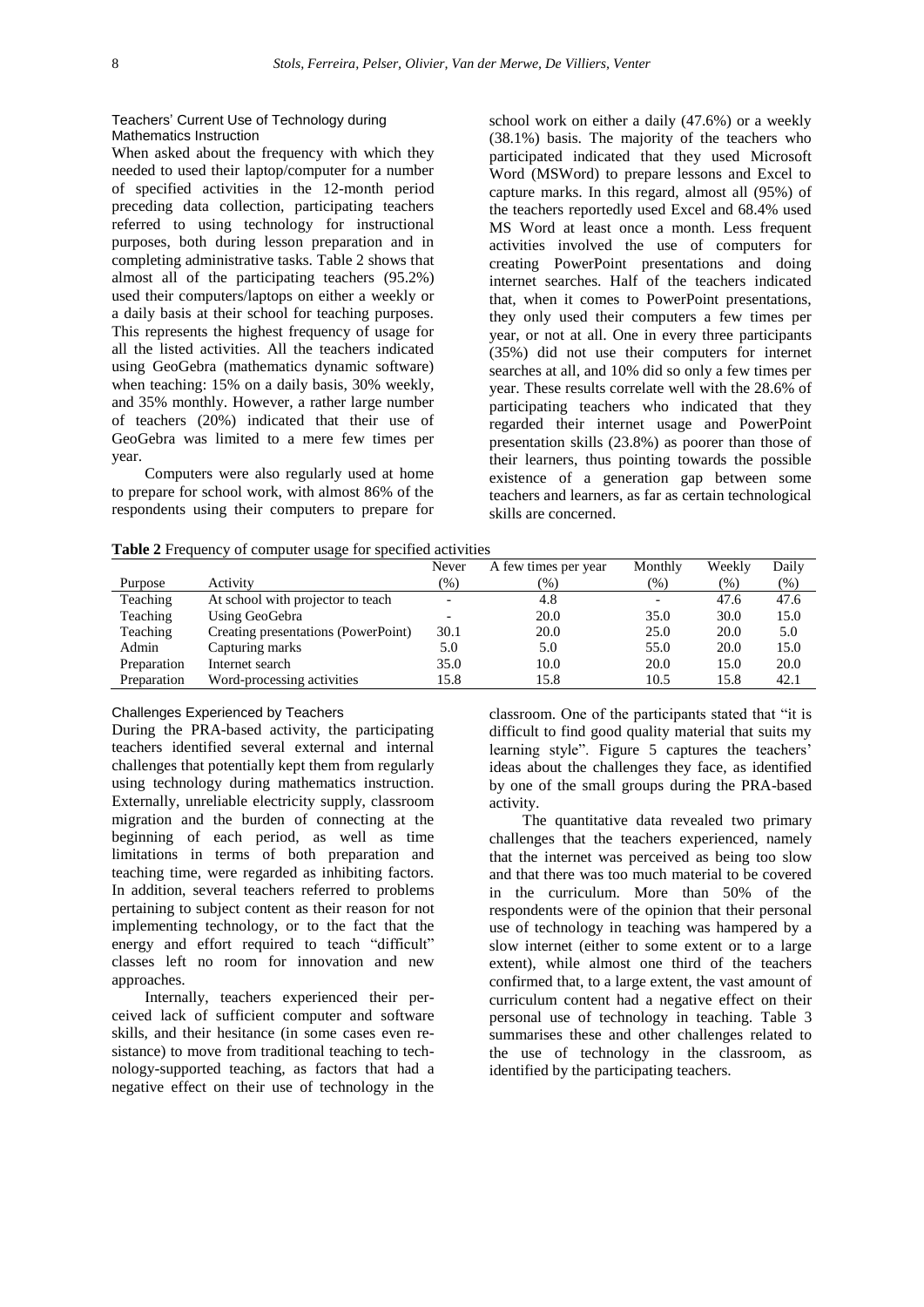# Teachers' Current Use of Technology during Mathematics Instruction

When asked about the frequency with which they needed to used their laptop/computer for a number of specified activities in the 12-month period preceding data collection, participating teachers referred to using technology for instructional purposes, both during lesson preparation and in completing administrative tasks. Table 2 shows that almost all of the participating teachers (95.2%) used their computers/laptops on either a weekly or a daily basis at their school for teaching purposes. This represents the highest frequency of usage for all the listed activities. All the teachers indicated using GeoGebra (mathematics dynamic software) when teaching: 15% on a daily basis, 30% weekly, and 35% monthly. However, a rather large number of teachers (20%) indicated that their use of GeoGebra was limited to a mere few times per year.

Computers were also regularly used at home to prepare for school work, with almost 86% of the respondents using their computers to prepare for

|  |  | Table 2 Frequency of computer usage for specified activities |  |
|--|--|--------------------------------------------------------------|--|
|  |  |                                                              |  |

school work on either a daily (47.6%) or a weekly (38.1%) basis. The majority of the teachers who participated indicated that they used Microsoft Word (MSWord) to prepare lessons and Excel to capture marks. In this regard, almost all (95%) of the teachers reportedly used Excel and 68.4% used MS Word at least once a month. Less frequent activities involved the use of computers for creating PowerPoint presentations and doing internet searches. Half of the teachers indicated that, when it comes to PowerPoint presentations, they only used their computers a few times per year, or not at all. One in every three participants (35%) did not use their computers for internet searches at all, and 10% did so only a few times per year. These results correlate well with the 28.6% of participating teachers who indicated that they regarded their internet usage and PowerPoint presentation skills (23.8%) as poorer than those of their learners, thus pointing towards the possible existence of a generation gap between some teachers and learners, as far as certain technological skills are concerned.

|             |                                     | Never  | A few times per year | Monthly | Weekly | Daily  |
|-------------|-------------------------------------|--------|----------------------|---------|--------|--------|
| Purpose     | Activity                            | $(\%)$ | $(\%)$               | $(\%)$  | $(\%)$ | $(\%)$ |
| Teaching    | At school with projector to teach   |        | 4.8                  |         | 47.6   | 47.6   |
| Teaching    | Using GeoGebra                      |        | 20.0                 | 35.0    | 30.0   | 15.0   |
| Teaching    | Creating presentations (PowerPoint) | 30.1   | 20.0                 | 25.0    | 20.0   | 5.0    |
| Admin       | Capturing marks                     | 5.0    | 5.0                  | 55.0    | 20.0   | 15.0   |
| Preparation | Internet search                     | 35.0   | 10.0                 | 20.0    | 15.0   | 20.0   |
| Preparation | Word-processing activities          | 15.8   | 15.8                 | 10.5    | 15.8   | 42.1   |

### Challenges Experienced by Teachers

During the PRA-based activity, the participating teachers identified several external and internal challenges that potentially kept them from regularly using technology during mathematics instruction. Externally, unreliable electricity supply, classroom migration and the burden of connecting at the beginning of each period, as well as time limitations in terms of both preparation and teaching time, were regarded as inhibiting factors. In addition, several teachers referred to problems pertaining to subject content as their reason for not implementing technology, or to the fact that the energy and effort required to teach "difficult" classes left no room for innovation and new approaches.

Internally, teachers experienced their perceived lack of sufficient computer and software skills, and their hesitance (in some cases even resistance) to move from traditional teaching to technology-supported teaching, as factors that had a negative effect on their use of technology in the classroom. One of the participants stated that "it is difficult to find good quality material that suits my learning style". Figure 5 captures the teachers' ideas about the challenges they face, as identified by one of the small groups during the PRA-based activity.

The quantitative data revealed two primary challenges that the teachers experienced, namely that the internet was perceived as being too slow and that there was too much material to be covered in the curriculum. More than 50% of the respondents were of the opinion that their personal use of technology in teaching was hampered by a slow internet (either to some extent or to a large extent), while almost one third of the teachers confirmed that, to a large extent, the vast amount of curriculum content had a negative effect on their personal use of technology in teaching. Table 3 summarises these and other challenges related to the use of technology in the classroom, as identified by the participating teachers.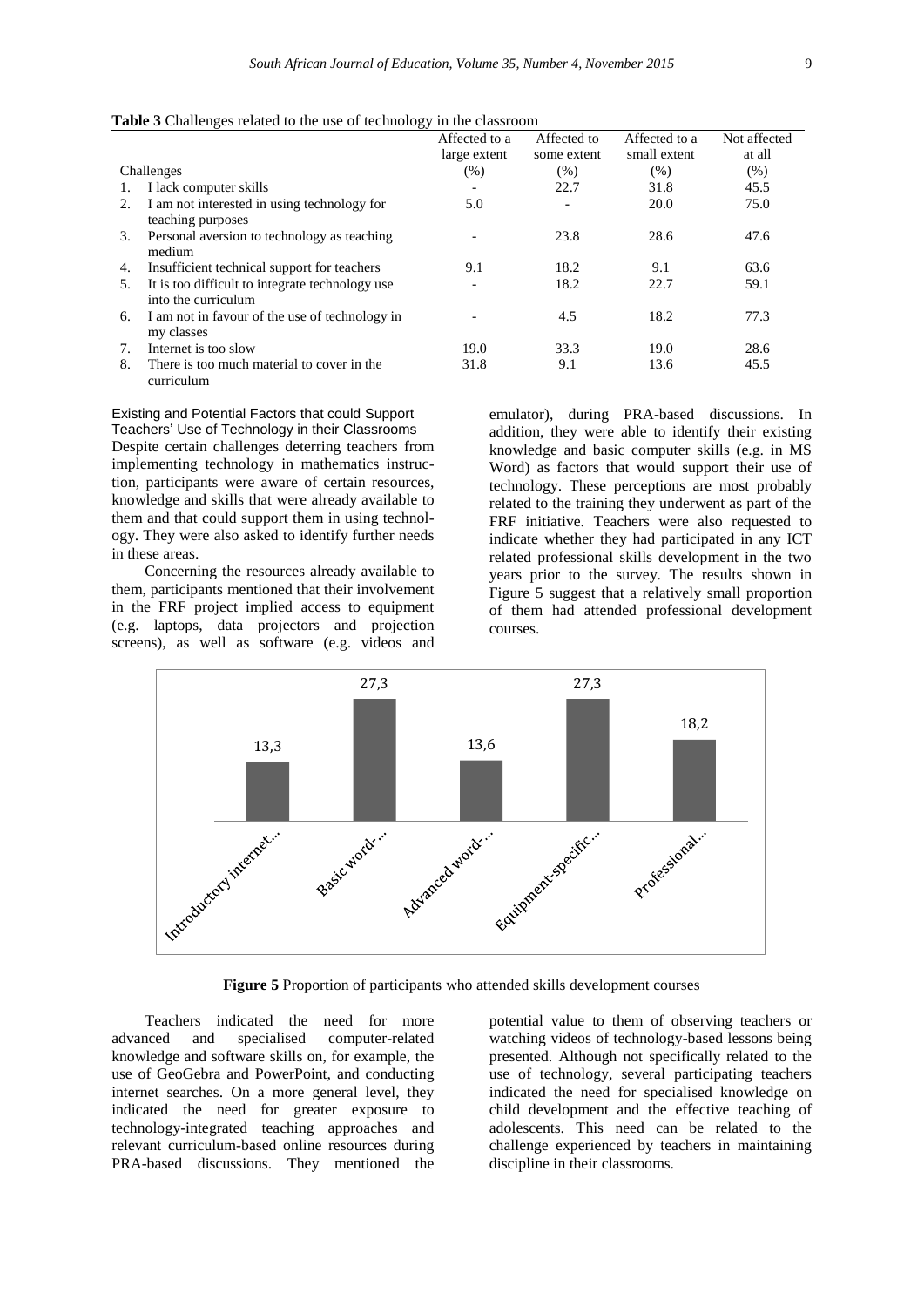|    |                                                 | Affected to a | Affected to | Affected to a | Not affected |
|----|-------------------------------------------------|---------------|-------------|---------------|--------------|
|    |                                                 | large extent  | some extent | small extent  | at all       |
|    | Challenges                                      | $(\%)$        | $(\% )$     | (% )          | $(\%)$       |
| 1. | I lack computer skills                          |               | 22.7        | 31.8          | 45.5         |
| 2. | I am not interested in using technology for     | 5.0           |             | 20.0          | 75.0         |
|    | teaching purposes                               |               |             |               |              |
| 3. | Personal aversion to technology as teaching     |               | 23.8        | 28.6          | 47.6         |
|    | medium                                          |               |             |               |              |
| 4. | Insufficient technical support for teachers     | 9.1           | 18.2        | 9.1           | 63.6         |
| 5. | It is too difficult to integrate technology use |               | 18.2        | 22.7          | 59.1         |
|    | into the curriculum                             |               |             |               |              |
| 6. | I am not in favour of the use of technology in  |               | 4.5         | 18.2          | 77.3         |
|    | my classes                                      |               |             |               |              |
| 7. | Internet is too slow                            | 19.0          | 33.3        | 19.0          | 28.6         |
| 8. | There is too much material to cover in the      | 31.8          | 9.1         | 13.6          | 45.5         |
|    | curriculum                                      |               |             |               |              |

**Table 3** Challenges related to the use of technology in the classroom

Existing and Potential Factors that could Support Teachers' Use of Technology in their Classrooms Despite certain challenges deterring teachers from implementing technology in mathematics instruction, participants were aware of certain resources, knowledge and skills that were already available to them and that could support them in using technology. They were also asked to identify further needs in these areas.

Concerning the resources already available to them, participants mentioned that their involvement in the FRF project implied access to equipment (e.g. laptops, data projectors and projection screens), as well as software (e.g. videos and

emulator), during PRA-based discussions. In addition, they were able to identify their existing knowledge and basic computer skills (e.g. in MS Word) as factors that would support their use of technology. These perceptions are most probably related to the training they underwent as part of the FRF initiative. Teachers were also requested to indicate whether they had participated in any ICT related professional skills development in the two years prior to the survey. The results shown in Figure 5 suggest that a relatively small proportion of them had attended professional development courses.



**Figure 5** Proportion of participants who attended skills development courses

Teachers indicated the need for more advanced and specialised computer-related knowledge and software skills on, for example, the use of GeoGebra and PowerPoint, and conducting internet searches. On a more general level, they indicated the need for greater exposure to technology-integrated teaching approaches and relevant curriculum-based online resources during PRA-based discussions. They mentioned the

potential value to them of observing teachers or watching videos of technology-based lessons being presented. Although not specifically related to the use of technology, several participating teachers indicated the need for specialised knowledge on child development and the effective teaching of adolescents. This need can be related to the challenge experienced by teachers in maintaining discipline in their classrooms.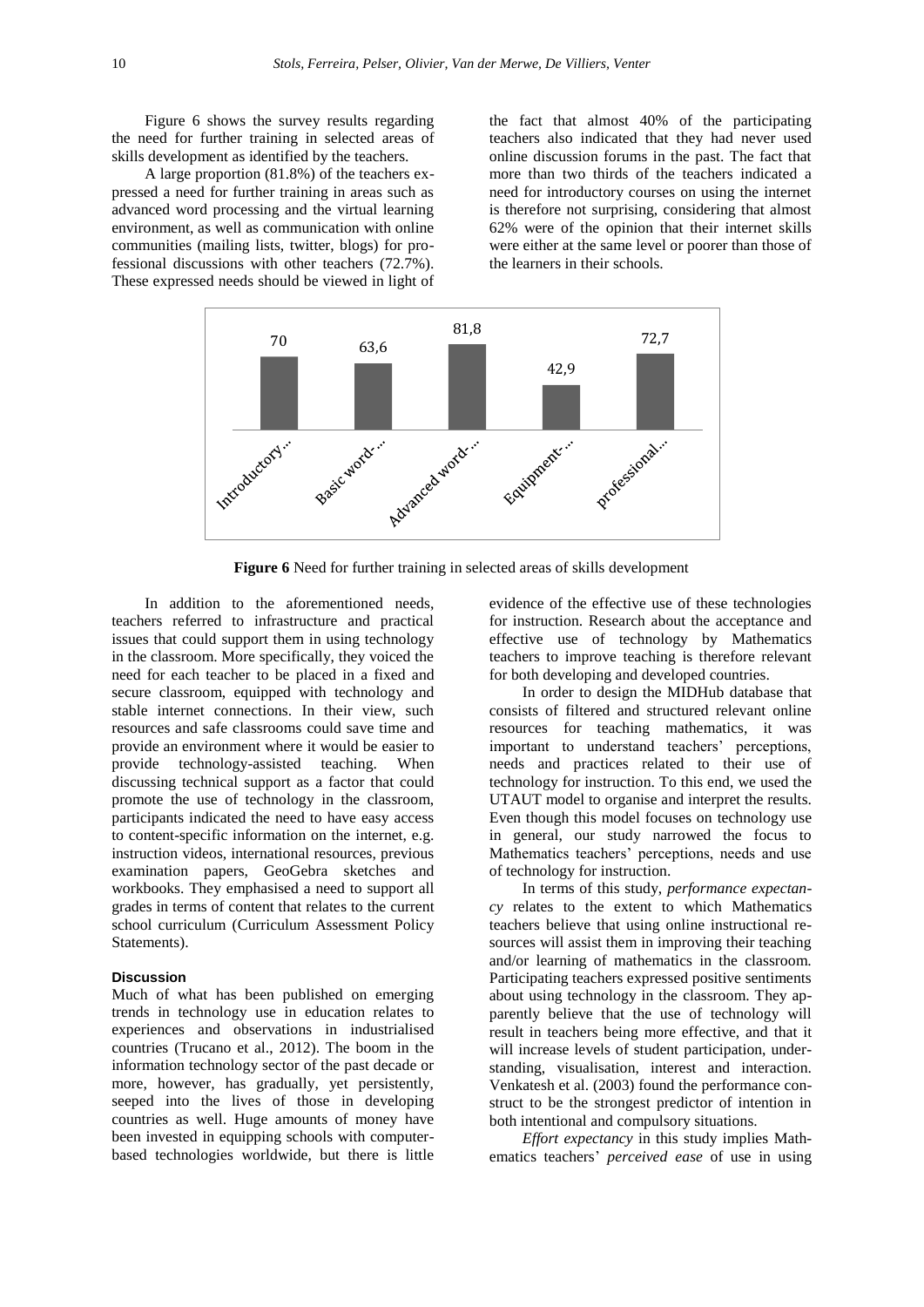Figure 6 shows the survey results regarding the need for further training in selected areas of skills development as identified by the teachers.

A large proportion (81.8%) of the teachers expressed a need for further training in areas such as advanced word processing and the virtual learning environment, as well as communication with online communities (mailing lists, twitter, blogs) for professional discussions with other teachers (72.7%). These expressed needs should be viewed in light of the fact that almost 40% of the participating teachers also indicated that they had never used online discussion forums in the past. The fact that more than two thirds of the teachers indicated a need for introductory courses on using the internet is therefore not surprising, considering that almost 62% were of the opinion that their internet skills were either at the same level or poorer than those of the learners in their schools.



**Figure 6** Need for further training in selected areas of skills development

In addition to the aforementioned needs, teachers referred to infrastructure and practical issues that could support them in using technology in the classroom. More specifically, they voiced the need for each teacher to be placed in a fixed and secure classroom, equipped with technology and stable internet connections. In their view, such resources and safe classrooms could save time and provide an environment where it would be easier to provide technology-assisted teaching. When discussing technical support as a factor that could promote the use of technology in the classroom, participants indicated the need to have easy access to content-specific information on the internet, e.g. instruction videos, international resources, previous examination papers, GeoGebra sketches and workbooks. They emphasised a need to support all grades in terms of content that relates to the current school curriculum (Curriculum Assessment Policy Statements).

# **Discussion**

Much of what has been published on emerging trends in technology use in education relates to experiences and observations in industrialised countries (Trucano et al., 2012). The boom in the information technology sector of the past decade or more, however, has gradually, yet persistently, seeped into the lives of those in developing countries as well. Huge amounts of money have been invested in equipping schools with computerbased technologies worldwide, but there is little

evidence of the effective use of these technologies for instruction. Research about the acceptance and effective use of technology by Mathematics teachers to improve teaching is therefore relevant for both developing and developed countries.

In order to design the MIDHub database that consists of filtered and structured relevant online resources for teaching mathematics, it was important to understand teachers' perceptions, needs and practices related to their use of technology for instruction. To this end, we used the UTAUT model to organise and interpret the results. Even though this model focuses on technology use in general, our study narrowed the focus to Mathematics teachers' perceptions, needs and use of technology for instruction.

In terms of this study, *performance expectancy* relates to the extent to which Mathematics teachers believe that using online instructional resources will assist them in improving their teaching and/or learning of mathematics in the classroom. Participating teachers expressed positive sentiments about using technology in the classroom. They apparently believe that the use of technology will result in teachers being more effective, and that it will increase levels of student participation, understanding, visualisation, interest and interaction. Venkatesh et al. (2003) found the performance construct to be the strongest predictor of intention in both intentional and compulsory situations.

*Effort expectancy* in this study implies Mathematics teachers' *perceived ease* of use in using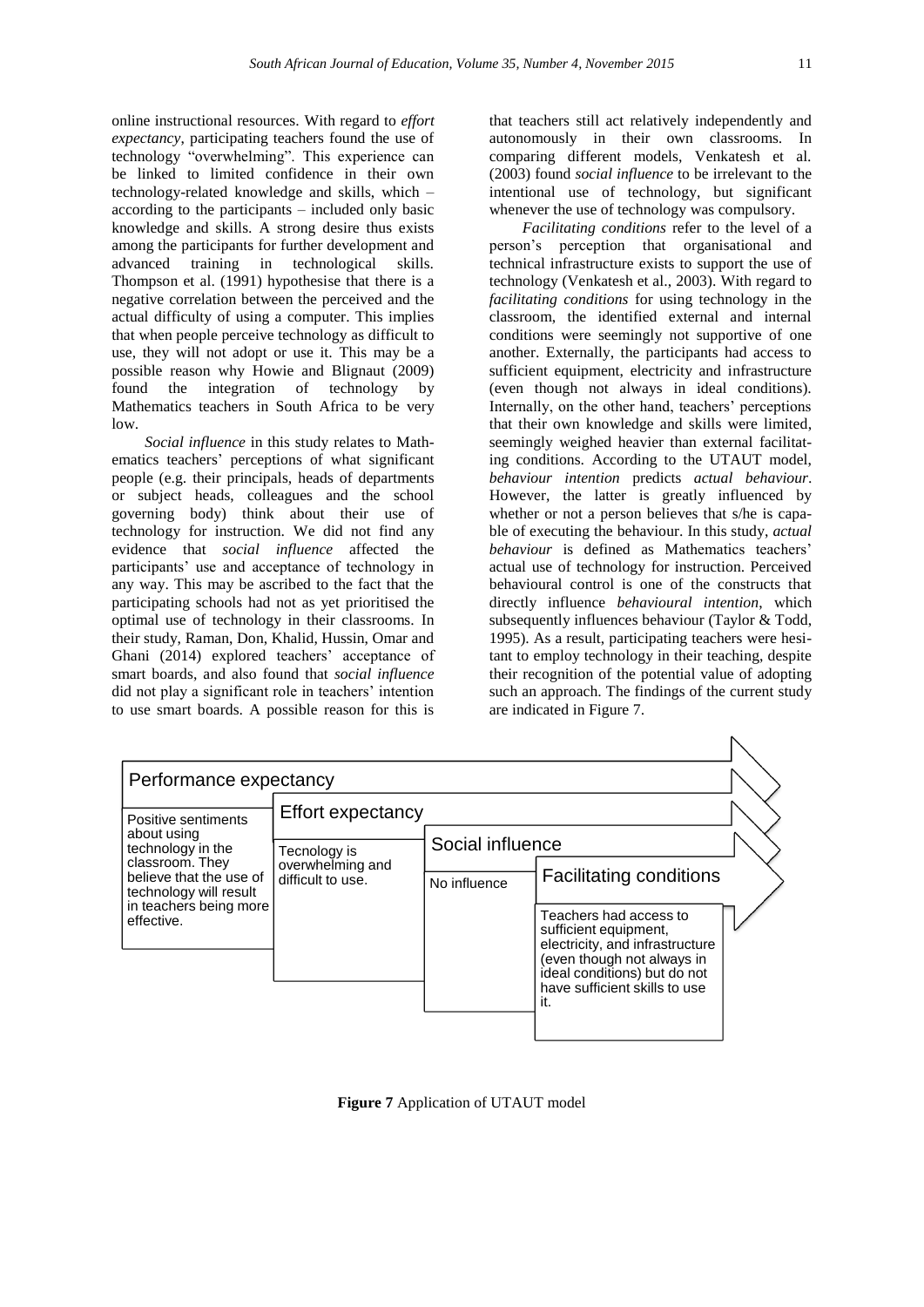online instructional resources. With regard to *effort expectancy*, participating teachers found the use of technology "overwhelming". This experience can be linked to limited confidence in their own technology-related knowledge and skills, which – according to the participants – included only basic knowledge and skills. A strong desire thus exists among the participants for further development and<br>advanced training in technological skills. advanced training in technological Thompson et al. (1991) hypothesise that there is a negative correlation between the perceived and the actual difficulty of using a computer. This implies that when people perceive technology as difficult to use, they will not adopt or use it. This may be a possible reason why Howie and Blignaut (2009) found the integration of technology by Mathematics teachers in South Africa to be very  $\log$ 

*Social influence* in this study relates to Mathematics teachers' perceptions of what significant people (e.g. their principals, heads of departments or subject heads, colleagues and the school governing body) think about their use of technology for instruction. We did not find any evidence that *social influence* affected the participants' use and acceptance of technology in any way. This may be ascribed to the fact that the participating schools had not as yet prioritised the optimal use of technology in their classrooms. In their study, Raman, Don, Khalid, Hussin, Omar and Ghani (2014) explored teachers' acceptance of smart boards, and also found that *social influence* did not play a significant role in teachers' intention to use smart boards. A possible reason for this is that teachers still act relatively independently and autonomously in their own classrooms. In comparing different models, Venkatesh et al. (2003) found *social influence* to be irrelevant to the intentional use of technology, but significant whenever the use of technology was compulsory.

*Facilitating conditions* refer to the level of a person's perception that organisational and technical infrastructure exists to support the use of technology (Venkatesh et al., 2003). With regard to *facilitating conditions* for using technology in the classroom, the identified external and internal conditions were seemingly not supportive of one another. Externally, the participants had access to sufficient equipment, electricity and infrastructure (even though not always in ideal conditions). Internally, on the other hand, teachers' perceptions that their own knowledge and skills were limited, seemingly weighed heavier than external facilitating conditions. According to the UTAUT model, *behaviour intention* predicts *actual behaviour*. However, the latter is greatly influenced by whether or not a person believes that s/he is capable of executing the behaviour. In this study, *actual behaviour* is defined as Mathematics teachers' actual use of technology for instruction. Perceived behavioural control is one of the constructs that directly influence *behavioural intention*, which subsequently influences behaviour (Taylor & Todd, 1995). As a result, participating teachers were hesitant to employ technology in their teaching, despite their recognition of the potential value of adopting such an approach. The findings of the current study are indicated in Figure 7.

 $\overline{\wedge}$ 

| Performance expectancy                                                                                   |                                                       |                  |                                                                                                                                                                                          |  |  |
|----------------------------------------------------------------------------------------------------------|-------------------------------------------------------|------------------|------------------------------------------------------------------------------------------------------------------------------------------------------------------------------------------|--|--|
| Positive sentiments                                                                                      | Effort expectancy                                     |                  |                                                                                                                                                                                          |  |  |
| about using<br>technology in the<br>classroom. They<br>believe that the use of<br>technology will result | Tecnology is<br>overwhelming and<br>difficult to use. | Social influence |                                                                                                                                                                                          |  |  |
|                                                                                                          |                                                       | No influence     | <b>Facilitating conditions</b>                                                                                                                                                           |  |  |
| in teachers being more<br>effective.                                                                     |                                                       |                  | Teachers had access to<br>sufficient equipment,<br>electricity, and infrastructure<br>(even though not always in<br>ideal conditions) but do not<br>have sufficient skills to use<br>it. |  |  |
|                                                                                                          |                                                       |                  |                                                                                                                                                                                          |  |  |

**Figure 7** Application of UTAUT model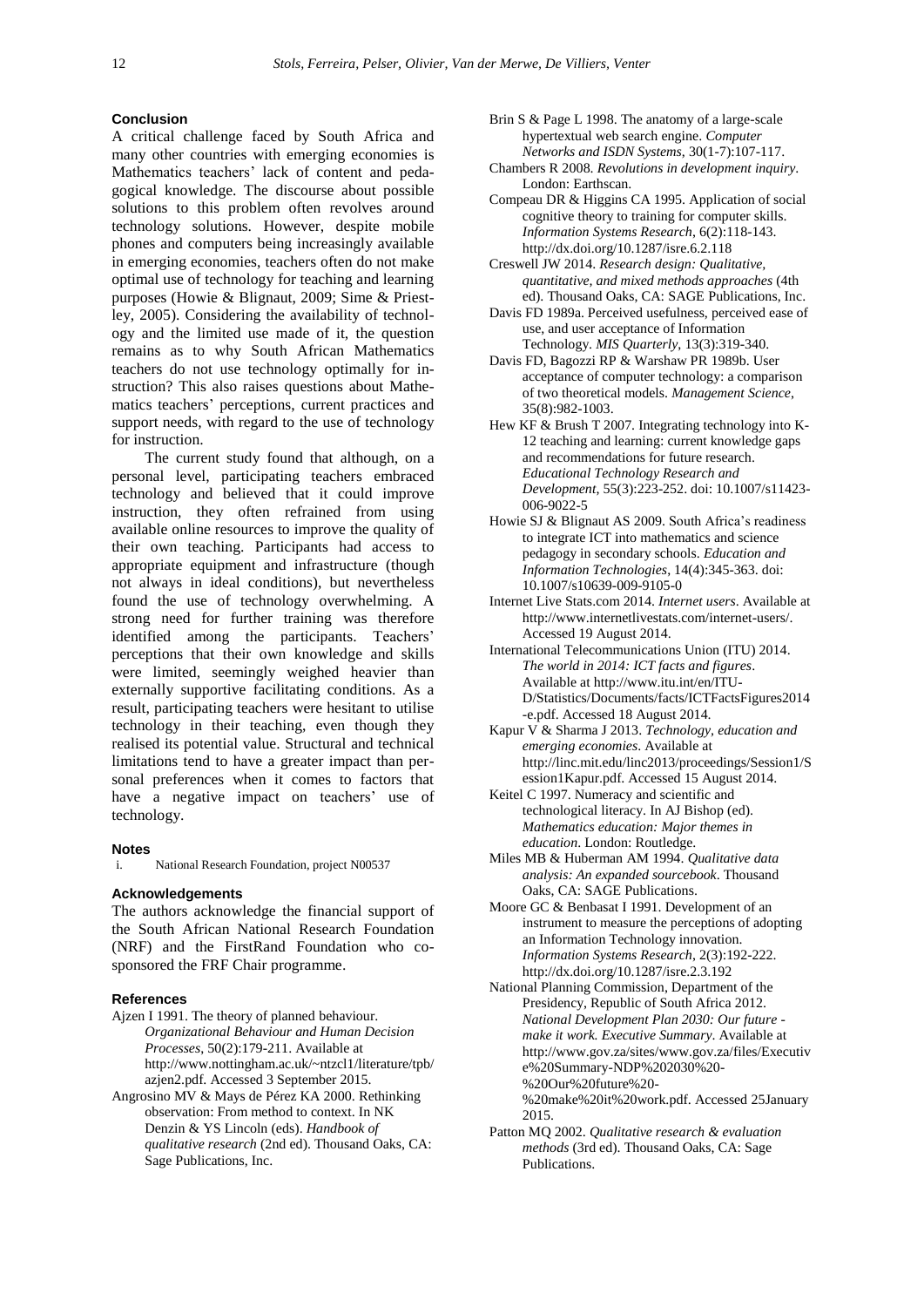# **Conclusion**

A critical challenge faced by South Africa and many other countries with emerging economies is Mathematics teachers' lack of content and pedagogical knowledge. The discourse about possible solutions to this problem often revolves around technology solutions. However, despite mobile phones and computers being increasingly available in emerging economies, teachers often do not make optimal use of technology for teaching and learning purposes (Howie & Blignaut, 2009; Sime & Priestley, 2005). Considering the availability of technology and the limited use made of it, the question remains as to why South African Mathematics teachers do not use technology optimally for instruction? This also raises questions about Mathematics teachers' perceptions, current practices and support needs, with regard to the use of technology for instruction.

The current study found that although, on a personal level, participating teachers embraced technology and believed that it could improve instruction, they often refrained from using available online resources to improve the quality of their own teaching. Participants had access to appropriate equipment and infrastructure (though not always in ideal conditions), but nevertheless found the use of technology overwhelming. A strong need for further training was therefore identified among the participants. Teachers' perceptions that their own knowledge and skills were limited, seemingly weighed heavier than externally supportive facilitating conditions. As a result, participating teachers were hesitant to utilise technology in their teaching, even though they realised its potential value. Structural and technical limitations tend to have a greater impact than personal preferences when it comes to factors that have a negative impact on teachers' use of technology.

#### **Notes**

i. National Research Foundation, project N00537

# **Acknowledgements**

The authors acknowledge the financial support of the South African National Research Foundation (NRF) and the FirstRand Foundation who cosponsored the FRF Chair programme.

## **References**

- Ajzen I 1991. The theory of planned behaviour. *Organizational Behaviour and Human Decision Processes*, 50(2):179-211. Available at [http://www.nottingham.ac.uk/~ntzcl1/literature/tpb/](http://www.nottingham.ac.uk/~ntzcl1/literature/tpb/azjen2.pdf) [azjen2.pdf.](http://www.nottingham.ac.uk/~ntzcl1/literature/tpb/azjen2.pdf) Accessed 3 September 2015.
- Angrosino MV & Mays de Pérez KA 2000. Rethinking observation: From method to context. In NK Denzin & YS Lincoln (eds). *Handbook of qualitative research* (2nd ed). Thousand Oaks, CA: Sage Publications, Inc.
- Brin S & Page L 1998. The anatomy of a large-scale hypertextual web search engine. *Computer Networks and ISDN Systems*, 30(1-7):107-117.
- Chambers R 2008. *Revolutions in development inquiry*. London: Earthscan.
- Compeau DR & Higgins CA 1995. Application of social cognitive theory to training for computer skills. *Information Systems Research*, 6(2):118-143. <http://dx.doi.org/10.1287/isre.6.2.118>
- Creswell JW 2014. *Research design: Qualitative, quantitative, and mixed methods approaches* (4th ed). Thousand Oaks, CA: SAGE Publications, Inc.
- Davis FD 1989a. Perceived usefulness, perceived ease of use, and user acceptance of Information Technology. *MIS Quarterly*, 13(3):319-340.
- Davis FD, Bagozzi RP & Warshaw PR 1989b. User acceptance of computer technology: a comparison of two theoretical models. *Management Science*, 35(8):982-1003.
- Hew KF & Brush T 2007. Integrating technology into K-12 teaching and learning: current knowledge gaps and recommendations for future research. *Educational Technology Research and Development*, 55(3):223-252. [doi: 10.1007/s11423-](http://link.springer.com/article/10.1007%2Fs11423-006-9022-5) [006-9022-5](http://link.springer.com/article/10.1007%2Fs11423-006-9022-5)
- Howie SJ & Blignaut AS 2009. South Africa's readiness to integrate ICT into mathematics and science pedagogy in secondary schools. *Education and Information Technologies*, 14(4):345-363. [doi:](http://link.springer.com/article/10.1007%2Fs10639-009-9105-0)  [10.1007/s10639-009-9105-0](http://link.springer.com/article/10.1007%2Fs10639-009-9105-0)
- Internet Live Stats.com 2014. *Internet users*. Available at [http://www.internetlivestats.com/internet-users/.](http://www.internetlivestats.com/internet-users/) Accessed 19 August 2014.
- International Telecommunications Union (ITU) 2014. *The world in 2014: ICT facts and figures*. Available a[t http://www.itu.int/en/ITU-](http://www.itu.int/en/ITU-D/Statistics/Documents/facts/ICTFactsFigures2014-e.pdf)[D/Statistics/Documents/facts/ICTFactsFigures2014](http://www.itu.int/en/ITU-D/Statistics/Documents/facts/ICTFactsFigures2014-e.pdf) [-e.pdf.](http://www.itu.int/en/ITU-D/Statistics/Documents/facts/ICTFactsFigures2014-e.pdf) Accessed 18 August 2014.
- Kapur V & Sharma J 2013. *Technology, education and emerging economies*. Available at http://linc.mit.edu/linc2013/proceedings/Session1/S ession1Kapur.pdf. Accessed 15 August 2014.
- Keitel C 1997. Numeracy and scientific and technological literacy. In AJ Bishop (ed). *Mathematics education: Major themes in education*. London: Routledge.
- Miles MB & Huberman AM 1994. *Qualitative data analysis: An expanded sourcebook*. Thousand Oaks, CA: SAGE Publications.
- Moore GC & Benbasat I 1991. Development of an instrument to measure the perceptions of adopting an Information Technology innovation. *Information Systems Research*, 2(3):192-222. <http://dx.doi.org/10.1287/isre.2.3.192>
- National Planning Commission, Department of the Presidency, Republic of South Africa 2012. *National Development Plan 2030: Our future make it work. Executive Summary*. Available at [http://www.gov.za/sites/www.gov.za/files/Executiv](http://www.gov.za/sites/www.gov.za/files/Executive%20Summary-NDP%202030%20-%20Our%20future%20-%20make%20it%20work.pdf) [e%20Summary-NDP%202030%20-](http://www.gov.za/sites/www.gov.za/files/Executive%20Summary-NDP%202030%20-%20Our%20future%20-%20make%20it%20work.pdf) [%20Our%20future%20-](http://www.gov.za/sites/www.gov.za/files/Executive%20Summary-NDP%202030%20-%20Our%20future%20-%20make%20it%20work.pdf) [%20make%20it%20work.pdf.](http://www.gov.za/sites/www.gov.za/files/Executive%20Summary-NDP%202030%20-%20Our%20future%20-%20make%20it%20work.pdf) Accessed 25January 2015.
- Patton MQ 2002. *Qualitative research & evaluation methods* (3rd ed). Thousand Oaks, CA: Sage Publications.